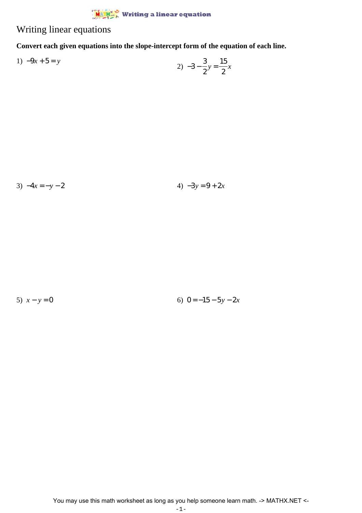## $\frac{\dot{M}}{\dot{M}}$  Writing a linear equation

## Writing linear equations

**Convert each given equations into the slope-intercept form of the equation of each line.**

1) 
$$
-9x + 5 = y
$$
  
2)  $-3 - \frac{3}{2}y = \frac{15}{2}x$ 

3)  $-4x = -y - 2$  4)  $-3y = 9 + 2x$ 

5)  $x - y = 0$  6)  $0 = -15 - 5y - 2x$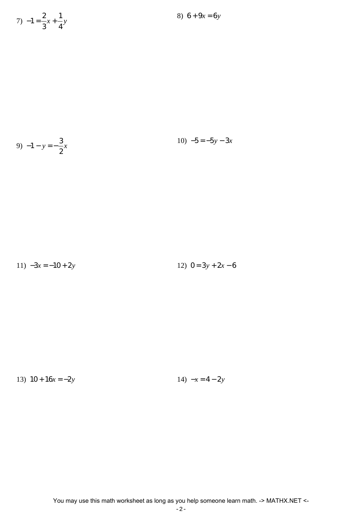$$
7) -1 = \frac{2}{3}x + \frac{1}{4}y
$$

9) 
$$
-1 - y = -\frac{3}{2}x
$$
 10)  $-5 = -5y - 3x$ 

$$
11) -3x = -10 + 2y \qquad 12) 0 = 3y + 2x - 6
$$

13) 
$$
10 + 16x = -2y
$$
  
14)  $-x = 4 - 2y$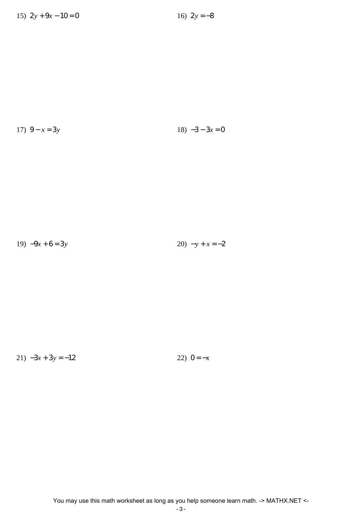$$
17) \ \ 9 - x = 3y \tag{18} \ \ -3 - 3x = 0
$$

19) 
$$
-9x + 6 = 3y
$$
  
20)  $-y + x = -2$ 

21)  $-3x + 3y = -12$  22)  $0 = -x$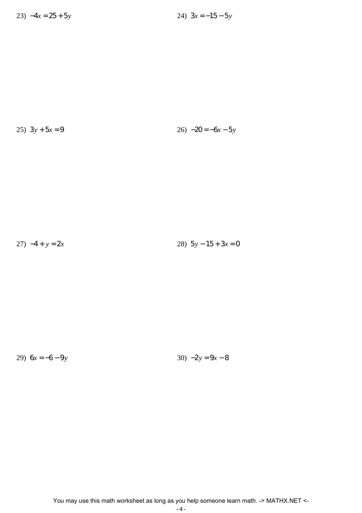$$
25) \ 3y + 5x = 9 \qquad \qquad 26) \ -20 = -6x - 5y
$$

27)  $-4 + y = 2x$ 28)  $5y - 15 + 3x = 0$ 

29)  $6x = -6 - 9y$ 

30)  $-2y = 9x - 8$